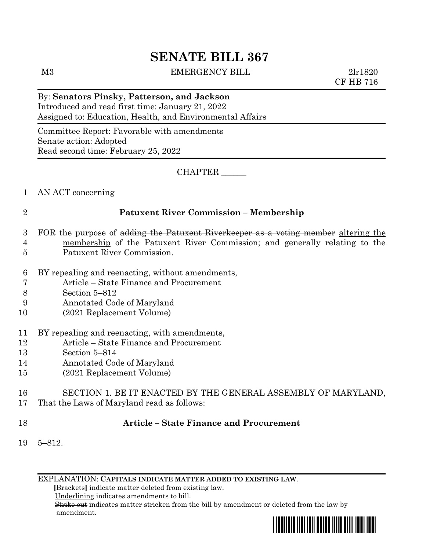# **SENATE BILL 367**

M3 EMERGENCY BILL 2lr1820

CF HB 716

# By: **Senators Pinsky, Patterson, and Jackson**

Introduced and read first time: January 21, 2022 Assigned to: Education, Health, and Environmental Affairs

Committee Report: Favorable with amendments Senate action: Adopted Read second time: February 25, 2022

CHAPTER \_\_\_\_\_\_

1 AN ACT concerning

## 2 **Patuxent River Commission – Membership**

- 3 FOR the purpose of adding the Patuxent Riverkeeper as a voting member altering the 4 membership of the Patuxent River Commission; and generally relating to the 5 Patuxent River Commission.
- 
- 6 BY repealing and reenacting, without amendments,
- 7 Article State Finance and Procurement
- 8 Section 5–812
- 9 Annotated Code of Maryland
- 10 (2021 Replacement Volume)
- 11 BY repealing and reenacting, with amendments,
- 12 Article State Finance and Procurement
- 13 Section 5–814
- 14 Annotated Code of Maryland
- 15 (2021 Replacement Volume)

## 16 SECTION 1. BE IT ENACTED BY THE GENERAL ASSEMBLY OF MARYLAND, 17 That the Laws of Maryland read as follows:

- 18 **Article – State Finance and Procurement**
- 19 5–812.

EXPLANATION: **CAPITALS INDICATE MATTER ADDED TO EXISTING LAW**.

 **[**Brackets**]** indicate matter deleted from existing law.

Underlining indicates amendments to bill.

 Strike out indicates matter stricken from the bill by amendment or deleted from the law by amendment.

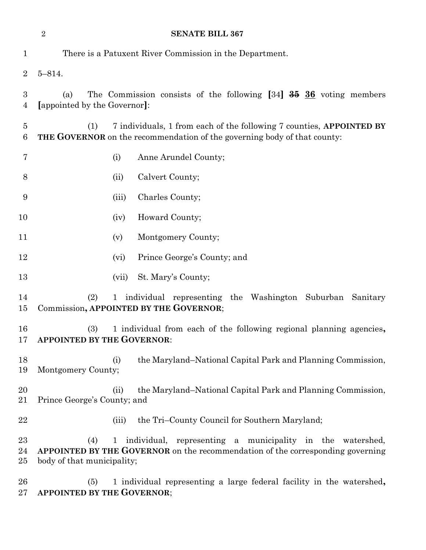|                         | $\overline{2}$<br><b>SENATE BILL 367</b>                                                                                                                                                                |                                                                                                                                                         |  |
|-------------------------|---------------------------------------------------------------------------------------------------------------------------------------------------------------------------------------------------------|---------------------------------------------------------------------------------------------------------------------------------------------------------|--|
| $\mathbf{1}$            | There is a Patuxent River Commission in the Department.                                                                                                                                                 |                                                                                                                                                         |  |
| $\overline{2}$          | $5 - 814.$                                                                                                                                                                                              |                                                                                                                                                         |  |
| 3<br>$\overline{4}$     | The Commission consists of the following $[34]$ $\frac{35}{10}$ $\frac{36}{10}$ voting members<br>(a)<br>[appointed by the Governor]:                                                                   |                                                                                                                                                         |  |
| $\overline{5}$<br>$\,6$ | (1)                                                                                                                                                                                                     | 7 individuals, 1 from each of the following 7 counties, APPOINTED BY<br><b>THE GOVERNOR</b> on the recommendation of the governing body of that county: |  |
| 7                       | (i)                                                                                                                                                                                                     | Anne Arundel County;                                                                                                                                    |  |
| 8                       | (ii)                                                                                                                                                                                                    | Calvert County;                                                                                                                                         |  |
| 9                       |                                                                                                                                                                                                         | Charles County;<br>(iii)                                                                                                                                |  |
| 10                      |                                                                                                                                                                                                         | Howard County;<br>(iv)                                                                                                                                  |  |
| 11                      | (v)                                                                                                                                                                                                     | Montgomery County;                                                                                                                                      |  |
| 12                      |                                                                                                                                                                                                         | Prince George's County; and<br>(vi)                                                                                                                     |  |
| 13                      |                                                                                                                                                                                                         | (vii)<br>St. Mary's County;                                                                                                                             |  |
| 14<br>15                | (2)<br>1 individual representing the Washington Suburban Sanitary<br>Commission, APPOINTED BY THE GOVERNOR;                                                                                             |                                                                                                                                                         |  |
| 16<br>17                | 1 individual from each of the following regional planning agencies,<br>(3)<br><b>APPOINTED BY THE GOVERNOR:</b>                                                                                         |                                                                                                                                                         |  |
| 18<br>19                | (i)<br>Montgomery County;                                                                                                                                                                               | the Maryland–National Capital Park and Planning Commission,                                                                                             |  |
| 20<br>21                | (ii)<br>Prince George's County; and                                                                                                                                                                     | the Maryland–National Capital Park and Planning Commission,                                                                                             |  |
| 22                      |                                                                                                                                                                                                         | the Tri-County Council for Southern Maryland;<br>(iii)                                                                                                  |  |
| 23<br>24<br>25          | individual, representing a municipality in the watershed,<br>(4)<br>$\mathbf{1}$<br><b>APPOINTED BY THE GOVERNOR</b> on the recommendation of the corresponding governing<br>body of that municipality; |                                                                                                                                                         |  |
| 26<br>27                | (5)<br>APPOINTED BY THE GOVERNOR;                                                                                                                                                                       | 1 individual representing a large federal facility in the watershed,                                                                                    |  |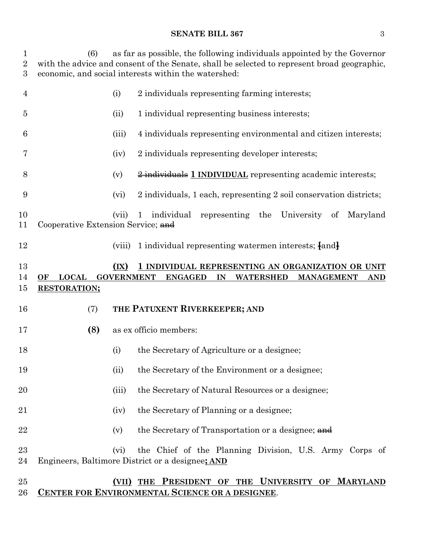### **SENATE BILL 367** 3

 (6) as far as possible, the following individuals appointed by the Governor with the advice and consent of the Senate, shall be selected to represent broad geographic, economic, and social interests within the watershed:

| 4                  |                                           | (i)                       | 2 individuals representing farming interests;                                                                                    |
|--------------------|-------------------------------------------|---------------------------|----------------------------------------------------------------------------------------------------------------------------------|
| 5                  |                                           | (ii)                      | 1 individual representing business interests;                                                                                    |
| 6                  |                                           | (iii)                     | 4 individuals representing environmental and citizen interests;                                                                  |
| 7                  |                                           | (iv)                      | 2 individuals representing developer interests;                                                                                  |
| 8                  |                                           | (v)                       | 2 individuals 1 INDIVIDUAL representing academic interests;                                                                      |
| 9                  |                                           | (vi)                      | 2 individuals, 1 each, representing 2 soil conservation districts;                                                               |
| 10<br>11           | Cooperative Extension Service; and        | (vii)                     | individual<br>representing the University<br>Maryland<br>$\mathbf{1}$<br>of                                                      |
| 12                 |                                           | (viii)                    | 1 individual representing watermen interests; $\{and\}$                                                                          |
| 13<br>14<br>$15\,$ | <b>LOCAL</b><br>OF<br><b>RESTORATION;</b> | (IX)<br><b>GOVERNMENT</b> | 1 INDIVIDUAL REPRESENTING AN ORGANIZATION OR UNIT<br><b>ENGAGED</b><br>IN<br><b>WATERSHED</b><br><b>MANAGEMENT</b><br><b>AND</b> |
| 16                 | (7)                                       |                           | THE PATUXENT RIVERKEEPER; AND                                                                                                    |
| 17                 | (8)                                       |                           | as ex officio members:                                                                                                           |
| 18                 |                                           | (i)                       | the Secretary of Agriculture or a designee;                                                                                      |
| 19                 |                                           | (ii)                      | the Secretary of the Environment or a designee;                                                                                  |
| 20                 |                                           | (iii)                     | the Secretary of Natural Resources or a designee;                                                                                |
| 21                 |                                           | (iv)                      | the Secretary of Planning or a designee;                                                                                         |
| 22                 |                                           | (v)                       | the Secretary of Transportation or a designee; and                                                                               |
| $^{23}$<br>24      |                                           | (vi)                      | the Chief of the Planning Division, U.S. Army Corps of<br>Engineers, Baltimore District or a designee; AND                       |
| $25\,$             |                                           |                           | (VII) THE PRESIDENT OF THE UNIVERSITY OF MARYLAND                                                                                |

**CENTER FOR ENVIRONMENTAL SCIENCE OR A DESIGNEE**.